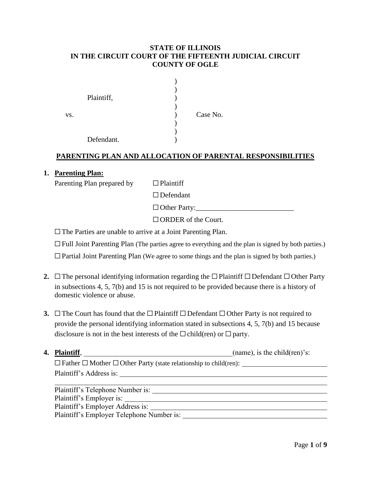# **STATE OF ILLINOIS IN THE CIRCUIT COURT OF THE FIFTEENTH JUDICIAL CIRCUIT COUNTY OF OGLE**

|     | Plaintiff, |          |
|-----|------------|----------|
| VS. |            | Case No. |
|     | Defendant. |          |

# **PARENTING PLAN AND ALLOCATION OF PARENTAL RESPONSIBILITIES**

#### **1. Parenting Plan:**

Parenting Plan prepared by  $□$  Plaintiff

☐Defendant

☐Other Party:\_\_\_\_\_\_\_\_\_\_\_\_\_\_\_\_\_\_\_\_\_\_\_\_\_\_\_

☐ORDER of the Court.

□The Parties are unable to arrive at a Joint Parenting Plan.

☐Full Joint Parenting Plan (The parties agree to everything and the plan is signed by both parties.)

☐Partial Joint Parenting Plan (We agree to some things and the plan is signed by both parties.)

- 2. <del>□The personal identifying information regarding the □Plaintiff □Defendant □Other Party</del> in subsections 4, 5, 7(b) and 15 is not required to be provided because there is a history of domestic violence or abuse.
- **3.** <del>□The Court has found that the □Plaintiff □Defendant □Other Party is not required to</del> provide the personal identifying information stated in subsections 4, 5, 7(b) and 15 because disclosure is not in the best interests of the  $\Box$  child(ren) or  $\Box$  party.

| 4. Plaintiff,                                                                     | (name), is the child $(\text{ren})$ 's: |
|-----------------------------------------------------------------------------------|-----------------------------------------|
| $\Box$ Father $\Box$ Mother $\Box$ Other Party (state relationship to child(ren): |                                         |
| Plaintiff's Address is:                                                           |                                         |
|                                                                                   |                                         |
| Plaintiff's Telephone Number is:                                                  |                                         |
| Plaintiff's Employer is:                                                          |                                         |
| _________                                                                         |                                         |

Plaintiff's Employer Address is:

Plaintiff's Employer Telephone Number is: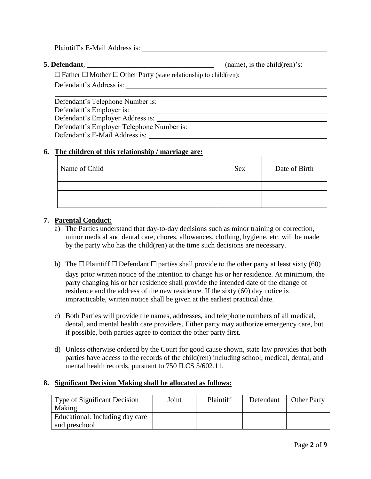Plaintiff's E-Mail Address is:

**5. Defendant**, *contract and the child (ren)'s:*  $(\text{name})$ , is the child(ren)'s:

☐Father ☐Mother ☐Other Party (state relationship to child(ren): Defendant's Address is:

Defendant's Telephone Number is: Defendant's Employer is: Defendant's Employer Address is: Defendant's Employer Telephone Number is: Defendant's E-Mail Address is:

# **6. The children of this relationship / marriage are:**

| Name of Child | <b>Sex</b> | Date of Birth |
|---------------|------------|---------------|
|               |            |               |
|               |            |               |
|               |            |               |
|               |            |               |

# **7. Parental Conduct:**

- a) The Parties understand that day-to-day decisions such as minor training or correction, minor medical and dental care, chores, allowances, clothing, hygiene, etc. will be made by the party who has the child(ren) at the time such decisions are necessary.
- b) The  $\Box$  Plaintiff  $\Box$  Defendant  $\Box$  parties shall provide to the other party at least sixty (60) days prior written notice of the intention to change his or her residence. At minimum, the party changing his or her residence shall provide the intended date of the change of residence and the address of the new residence. If the sixty (60) day notice is impracticable, written notice shall be given at the earliest practical date.
- c) Both Parties will provide the names, addresses, and telephone numbers of all medical, dental, and mental health care providers. Either party may authorize emergency care, but if possible, both parties agree to contact the other party first.
- d) Unless otherwise ordered by the Court for good cause shown, state law provides that both parties have access to the records of the child(ren) including school, medical, dental, and mental health records, pursuant to 750 ILCS 5/602.11.

#### **8. Significant Decision Making shall be allocated as follows:**

| Type of Significant Decision<br>Making           | Joint | Plaintiff | Defendant | <b>Other Party</b> |
|--------------------------------------------------|-------|-----------|-----------|--------------------|
| Educational: Including day care<br>and preschool |       |           |           |                    |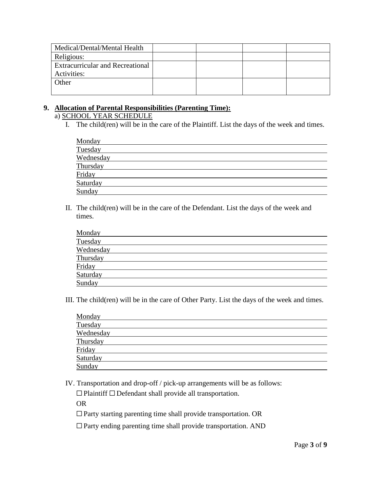| Medical/Dental/Mental Health            |  |  |
|-----------------------------------------|--|--|
| Religious:                              |  |  |
| <b>Extracurricular and Recreational</b> |  |  |
| Activities:                             |  |  |
| Other                                   |  |  |
|                                         |  |  |

# **9. Allocation of Parental Responsibilities (Parenting Time):**

# a) SCHOOL YEAR SCHEDULE

I. The child(ren) will be in the care of the Plaintiff. List the days of the week and times.

| Monday    |  |  |
|-----------|--|--|
| Tuesday   |  |  |
| Wednesday |  |  |
| Thursday  |  |  |
| Friday    |  |  |
| Saturday  |  |  |
| Sunday    |  |  |

II. The child(ren) will be in the care of the Defendant. List the days of the week and times.

| Monday    |  |  |
|-----------|--|--|
| Tuesday   |  |  |
| Wednesday |  |  |
| Thursday  |  |  |
| Friday    |  |  |
| Saturday  |  |  |
| Sunday    |  |  |

III. The child(ren) will be in the care of Other Party. List the days of the week and times.

| Monday    |  |  |
|-----------|--|--|
| Tuesday   |  |  |
| Wednesday |  |  |
| Thursday  |  |  |
| Friday    |  |  |
| Saturday  |  |  |
| Sunday    |  |  |

IV. Transportation and drop-off / pick-up arrangements will be as follows:

☐Plaintiff ☐Defendant shall provide all transportation.

OR

☐Party starting parenting time shall provide transportation. OR

 $\square$  Party ending parenting time shall provide transportation. AND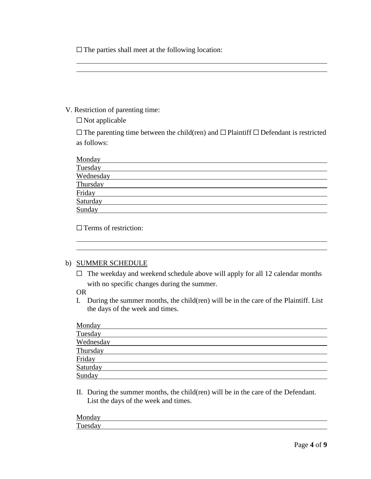$\Box$  The parties shall meet at the following location:

# V. Restriction of parenting time:

☐Not applicable

☐The parenting time between the child(ren) and ☐Plaintiff ☐Defendant is restricted as follows:

| Monday    |  |
|-----------|--|
| Tuesday   |  |
| Wednesday |  |
| Thursday  |  |
| Friday    |  |
| Saturday  |  |
| Sunday    |  |
|           |  |

□ Terms of restriction:

#### b) SUMMER SCHEDULE

 $\Box$  The weekday and weekend schedule above will apply for all 12 calendar months with no specific changes during the summer.

#### OR

I. During the summer months, the child(ren) will be in the care of the Plaintiff. List the days of the week and times.

| Monday    |  |  |
|-----------|--|--|
| Tuesday   |  |  |
| Wednesday |  |  |
| Thursday  |  |  |
| Friday    |  |  |
| Saturday  |  |  |
| Sunday    |  |  |

II. During the summer months, the child(ren) will be in the care of the Defendant. List the days of the week and times.

| Monday  |  |  |
|---------|--|--|
| Tuesday |  |  |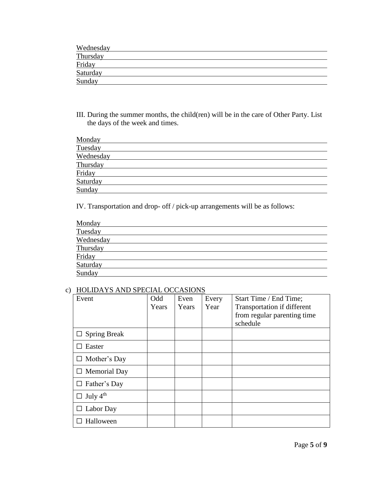| Wednesday |  |
|-----------|--|
| Thursday  |  |
| Friday    |  |
| Saturday  |  |
| Sunday    |  |

III. During the summer months, the child(ren) will be in the care of Other Party. List the days of the week and times.

| Monday    |  |  |
|-----------|--|--|
| Tuesday   |  |  |
| Wednesday |  |  |
| Thursday  |  |  |
| Friday    |  |  |
| Saturday  |  |  |
| Sunday    |  |  |

IV. Transportation and drop- off / pick-up arrangements will be as follows:

| Monday    |  |  |
|-----------|--|--|
| Tuesday   |  |  |
| Wednesday |  |  |
| Thursday  |  |  |
| Friday    |  |  |
| Saturday  |  |  |
| Sunday    |  |  |

# c) HOLIDAYS AND SPECIAL OCCASIONS

| Event                       | Odd<br>Years | Even<br>Years | Every<br>Year | Start Time / End Time;<br>Transportation if different<br>from regular parenting time<br>schedule |
|-----------------------------|--------------|---------------|---------------|--------------------------------------------------------------------------------------------------|
| $\Box$ Spring Break         |              |               |               |                                                                                                  |
| $\Box$ Easter               |              |               |               |                                                                                                  |
| $\Box$ Mother's Day         |              |               |               |                                                                                                  |
| $\Box$ Memorial Day         |              |               |               |                                                                                                  |
| $\Box$ Father's Day         |              |               |               |                                                                                                  |
| $\Box$ July 4 <sup>th</sup> |              |               |               |                                                                                                  |
| Labor Day                   |              |               |               |                                                                                                  |
| Halloween                   |              |               |               |                                                                                                  |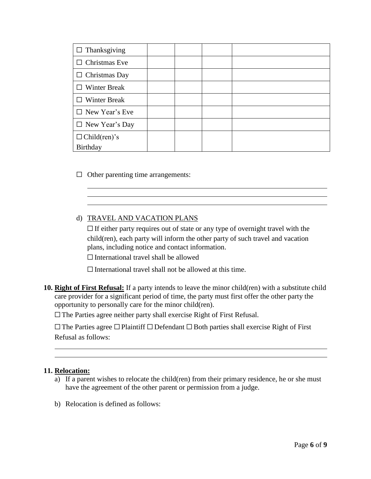| $\Box$ Thanksgiving   |  |  |
|-----------------------|--|--|
| $\Box$ Christmas Eve  |  |  |
| $\Box$ Christmas Day  |  |  |
| $\Box$ Winter Break   |  |  |
| <b>Winter Break</b>   |  |  |
| $\Box$ New Year's Eve |  |  |
| $\Box$ New Year's Day |  |  |
| $\Box$ Child(ren)'s   |  |  |
| Birthday              |  |  |

 $\Box$  Other parenting time arrangements:

# d) TRAVEL AND VACATION PLANS

 $\Box$  If either party requires out of state or any type of overnight travel with the child(ren), each party will inform the other party of such travel and vacation plans, including notice and contact information.

 $\Box$  International travel shall be allowed

 $\Box$  International travel shall not be allowed at this time.

**10. Right of First Refusal:** If a party intends to leave the minor child(ren) with a substitute child care provider for a significant period of time, the party must first offer the other party the opportunity to personally care for the minor child(ren).

☐The Parties agree neither party shall exercise Right of First Refusal.

☐The Parties agree ☐Plaintiff ☐Defendant ☐ Both parties shall exercise Right of First Refusal as follows:

#### **11. Relocation:**

- a) If a parent wishes to relocate the child(ren) from their primary residence, he or she must have the agreement of the other parent or permission from a judge.
- b) Relocation is defined as follows: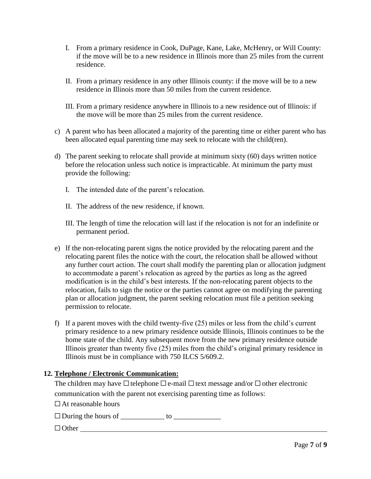- I. From a primary residence in Cook, DuPage, Kane, Lake, McHenry, or Will County: if the move will be to a new residence in Illinois more than 25 miles from the current residence.
- II. From a primary residence in any other Illinois county: if the move will be to a new residence in Illinois more than 50 miles from the current residence.
- III. From a primary residence anywhere in Illinois to a new residence out of Illinois: if the move will be more than 25 miles from the current residence.
- c) A parent who has been allocated a majority of the parenting time or either parent who has been allocated equal parenting time may seek to relocate with the child(ren).
- d) The parent seeking to relocate shall provide at minimum sixty (60) days written notice before the relocation unless such notice is impracticable. At minimum the party must provide the following:
	- I. The intended date of the parent's relocation.
	- II. The address of the new residence, if known.
	- III. The length of time the relocation will last if the relocation is not for an indefinite or permanent period.
- e) If the non-relocating parent signs the notice provided by the relocating parent and the relocating parent files the notice with the court, the relocation shall be allowed without any further court action. The court shall modify the parenting plan or allocation judgment to accommodate a parent's relocation as agreed by the parties as long as the agreed modification is in the child's best interests. If the non-relocating parent objects to the relocation, fails to sign the notice or the parties cannot agree on modifying the parenting plan or allocation judgment, the parent seeking relocation must file a petition seeking permission to relocate.
- f) If a parent moves with the child twenty-five (25) miles or less from the child's current primary residence to a new primary residence outside Illinois, Illinois continues to be the home state of the child. Any subsequent move from the new primary residence outside Illinois greater than twenty five (25) miles from the child's original primary residence in Illinois must be in compliance with 750 ILCS 5/609.2.

# **12. Telephone / Electronic Communication:**

The children may have  $\Box$  telephone  $\Box$  e-mail  $\Box$  text message and/or  $\Box$  other electronic communication with the parent not exercising parenting time as follows:

 $\Box$  At reasonable hours

☐During the hours of \_\_\_\_\_\_\_\_\_\_\_\_ to \_\_\_\_\_\_\_\_\_\_\_\_\_

# $\Box$  Other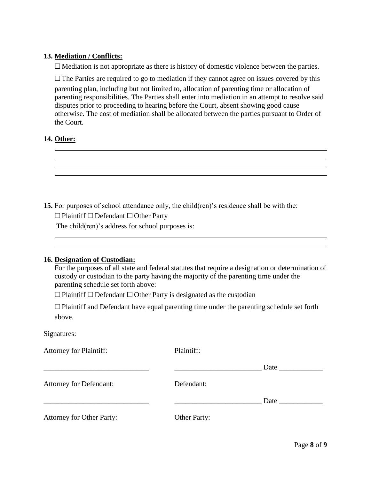# **13. Mediation / Conflicts:**

 $\Box$  Mediation is not appropriate as there is history of domestic violence between the parties.

 $\Box$  The Parties are required to go to mediation if they cannot agree on issues covered by this

parenting plan, including but not limited to, allocation of parenting time or allocation of parenting responsibilities. The Parties shall enter into mediation in an attempt to resolve said disputes prior to proceeding to hearing before the Court, absent showing good cause otherwise. The cost of mediation shall be allocated between the parties pursuant to Order of the Court.

# **14. Other:**



**15.** For purposes of school attendance only, the child(ren)'s residence shall be with the:

☐Plaintiff ☐Defendant ☐Other Party

The child(ren)'s address for school purposes is:

#### **16. Designation of Custodian:**

For the purposes of all state and federal statutes that require a designation or determination of custody or custodian to the party having the majority of the parenting time under the parenting schedule set forth above:

☐Plaintiff ☐Defendant ☐Other Party is designated as the custodian

☐Plaintiff and Defendant have equal parenting time under the parenting schedule set forth above.

#### Signatures:

| <b>Attorney for Plaintiff:</b>   | Plaintiff:   |      |
|----------------------------------|--------------|------|
|                                  |              | Date |
| <b>Attorney for Defendant:</b>   | Defendant:   |      |
|                                  |              | Date |
| <b>Attorney for Other Party:</b> | Other Party: |      |